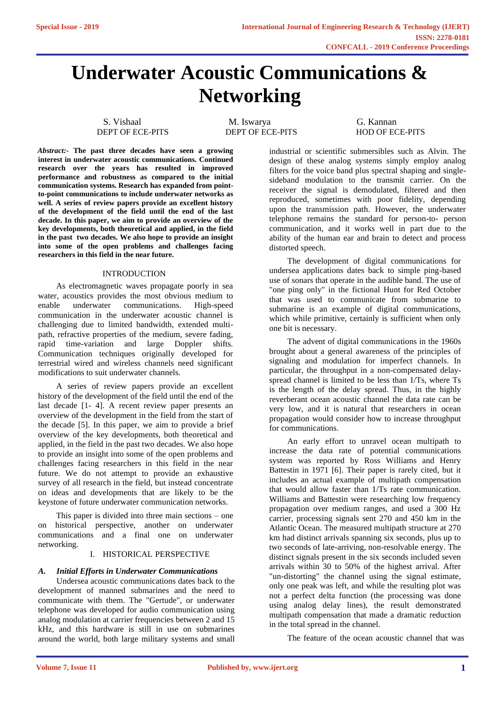# **Underwater Acoustic Communications & Networking**

S. Vishaal M. Iswarya G. Kannan DEPT OF ECE-PITS DEPT OF ECE-PITS HOD OF ECE-PITS

*Abstract:-* **The past three decades have seen a growing interest in underwater acoustic communications. Continued research over the years has resulted in improved performance and robustness as compared to the initial communication systems. Research has expanded from pointto-point communications to include underwater networks as well. A series of review papers provide an excellent history of the development of the field until the end of the last decade. In this paper, we aim to provide an overview of the key developments, both theoretical and applied, in the field in the past two decades. We also hope to provide an insight into some of the open problems and challenges facing researchers in this field in the near future.**

#### **INTRODUCTION**

As electromagnetic waves propagate poorly in sea water, acoustics provides the most obvious medium to enable underwater communications. High-speed communication in the underwater acoustic channel is challenging due to limited bandwidth, extended multipath, refractive properties of the medium, severe fading, rapid time-variation and large Doppler shifts. Communication techniques originally developed for terrestrial wired and wireless channels need significant modifications to suit underwater channels.

A series of review papers provide an excellent history of the development of the field until the end of the last decade [1- 4]. A recent review paper presents an overview of the development in the field from the start of the decade [5]. In this paper, we aim to provide a brief overview of the key developments, both theoretical and applied, in the field in the past two decades. We also hope to provide an insight into some of the open problems and challenges facing researchers in this field in the near future. We do not attempt to provide an exhaustive survey of all research in the field, but instead concentrate on ideas and developments that are likely to be the keystone of future underwater communication networks.

This paper is divided into three main sections – one on historical perspective, another on underwater communications and a final one on underwater networking.

#### I. HISTORICAL PERSPECTIVE

#### *A. Initial Efforts in Underwater Communications*

Undersea acoustic communications dates back to the development of manned submarines and the need to communicate with them. The "Gertude", or underwater telephone was developed for audio communication using analog modulation at carrier frequencies between 2 and 15 kHz, and this hardware is still in use on submarines around the world, both large military systems and small

industrial or scientific submersibles such as Alvin. The design of these analog systems simply employ analog filters for the voice band plus spectral shaping and singlesideband modulation to the transmit carrier. On the receiver the signal is demodulated, filtered and then reproduced, sometimes with poor fidelity, depending upon the transmission path. However, the underwater telephone remains the standard for person-to- person communication, and it works well in part due to the ability of the human ear and brain to detect and process distorted speech.

The development of digital communications for undersea applications dates back to simple ping-based use of sonars that operate in the audible band. The use of "one ping only" in the fictional Hunt for Red October that was used to communicate from submarine to submarine is an example of digital communications, which while primitive, certainly is sufficient when only one bit is necessary.

The advent of digital communications in the 1960s brought about a general awareness of the principles of signaling and modulation for imperfect channels. In particular, the throughput in a non-compensated delayspread channel is limited to be less than 1/Ts, where Ts is the length of the delay spread. Thus, in the highly reverberant ocean acoustic channel the data rate can be very low, and it is natural that researchers in ocean propagation would consider how to increase throughput for communications.

An early effort to unravel ocean multipath to increase the data rate of potential communications system was reported by Ross Williams and Henry Battestin in 1971 [6]. Their paper is rarely cited, but it includes an actual example of multipath compensation that would allow faster than 1/Ts rate communication. Williams and Battestin were researching low frequency propagation over medium ranges, and used a 300 Hz carrier, processing signals sent 270 and 450 km in the Atlantic Ocean. The measured multipath structure at 270 km had distinct arrivals spanning six seconds, plus up to two seconds of late-arriving, non-resolvable energy. The distinct signals present in the six seconds included seven arrivals within 30 to 50% of the highest arrival. After "un-distorting" the channel using the signal estimate, only one peak was left, and while the resulting plot was not a perfect delta function (the processing was done using analog delay lines), the result demonstrated multipath compensation that made a dramatic reduction in the total spread in the channel.

The feature of the ocean acoustic channel that was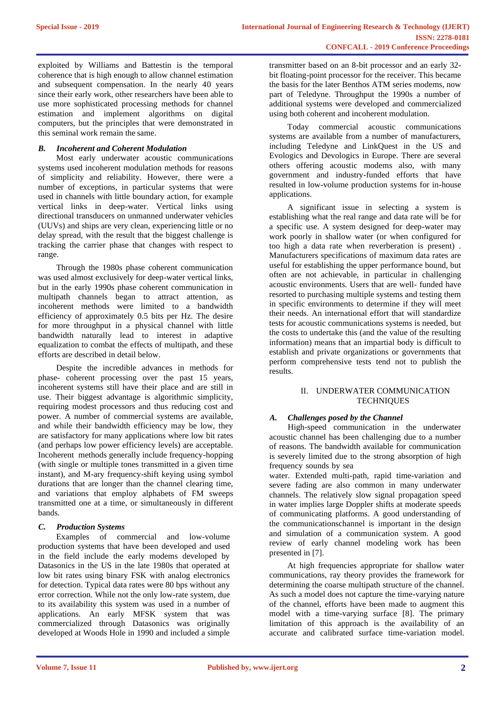exploited by Williams and Battestin is the temporal coherence that is high enough to allow channel estimation and subsequent compensation. In the nearly 40 years since their early work, other researchers have been able to use more sophisticated processing methods for channel estimation and implement algorithms on digital computers, but the principles that were demonstrated in this seminal work remain the same.

### *B. Incoherent and Coherent Modulation*

Most early underwater acoustic communications systems used incoherent modulation methods for reasons of simplicity and reliability. However, there were a number of exceptions, in particular systems that were used in channels with little boundary action, for example vertical links in deep-water. Vertical links using directional transducers on unmanned underwater vehicles (UUVs) and ships are very clean, experiencing little or no delay spread, with the result that the biggest challenge is tracking the carrier phase that changes with respect to range.

Through the 1980s phase coherent communication was used almost exclusively for deep-water vertical links, but in the early 1990s phase coherent communication in multipath channels began to attract attention, as incoherent methods were limited to a bandwidth efficiency of approximately 0.5 bits per Hz. The desire for more throughput in a physical channel with little bandwidth naturally lead to interest in adaptive equalization to combat the effects of multipath, and these efforts are described in detail below.

Despite the incredible advances in methods for phase- coherent processing over the past 15 years, incoherent systems still have their place and are still in use. Their biggest advantage is algorithmic simplicity, requiring modest processors and thus reducing cost and power. A number of commercial systems are available, and while their bandwidth efficiency may be low, they are satisfactory for many applications where low bit rates (and perhaps low power efficiency levels) are acceptable. Incoherent methods generally include frequency-hopping (with single or multiple tones transmitted in a given time instant), and M-ary frequency-shift keying using symbol durations that are longer than the channel clearing time, and variations that employ alphabets of FM sweeps transmitted one at a time, or simultaneously in different bands.

# *C. Production Systems*

Examples of commercial and low-volume production systems that have been developed and used in the field include the early modems developed by Datasonics in the US in the late 1980s that operated at low bit rates using binary FSK with analog electronics for detection. Typical data rates were 80 bps without any error correction. While not the only low-rate system, due to its availability this system was used in a number of applications. An early MFSK system that was commercialized through Datasonics was originally developed at Woods Hole in 1990 and included a simple

transmitter based on an 8-bit processor and an early 32 bit floating-point processor for the receiver. This became the basis for the later Benthos ATM series modems, now part of Teledyne. Throughput the 1990s a number of additional systems were developed and commercialized using both coherent and incoherent modulation.

Today commercial acoustic communications systems are available from a number of manufacturers, including Teledyne and LinkQuest in the US and Evologics and Devologics in Europe. There are several others offering acoustic modems also, with many government and industry-funded efforts that have resulted in low-volume production systems for in-house applications.

A significant issue in selecting a system is establishing what the real range and data rate will be for a specific use. A system designed for deep-water may work poorly in shallow water (or when configured for too high a data rate when reverberation is present) . Manufacturers specifications of maximum data rates are useful for establishing the upper performance bound, but often are not achievable, in particular in challenging acoustic environments. Users that are well- funded have resorted to purchasing multiple systems and testing them in specific environments to determine if they will meet their needs. An international effort that will standardize tests for acoustic communications systems is needed, but the costs to undertake this (and the value of the resulting information) means that an impartial body is difficult to establish and private organizations or governments that perform comprehensive tests tend not to publish the results.

#### II. UNDERWATER COMMUNICATION **TECHNIQUES**

#### *A. Challenges posed by the Channel*

High-speed communication in the underwater acoustic channel has been challenging due to a number of reasons. The bandwidth available for communication is severely limited due to the strong absorption of high frequency sounds by sea

water. Extended multi-path, rapid time-variation and severe fading are also common in many underwater channels. The relatively slow signal propagation speed in water implies large Doppler shifts at moderate speeds of communicating platforms. A good understanding of the communicationschannel is important in the design and simulation of a communication system. A good review of early channel modeling work has been presented in [7].

At high frequencies appropriate for shallow water communications, ray theory provides the framework for determining the coarse multipath structure of the channel. As such a model does not capture the time-varying nature of the channel, efforts have been made to augment this model with a time-varying surface [8]. The primary limitation of this approach is the availability of an accurate and calibrated surface time-variation model.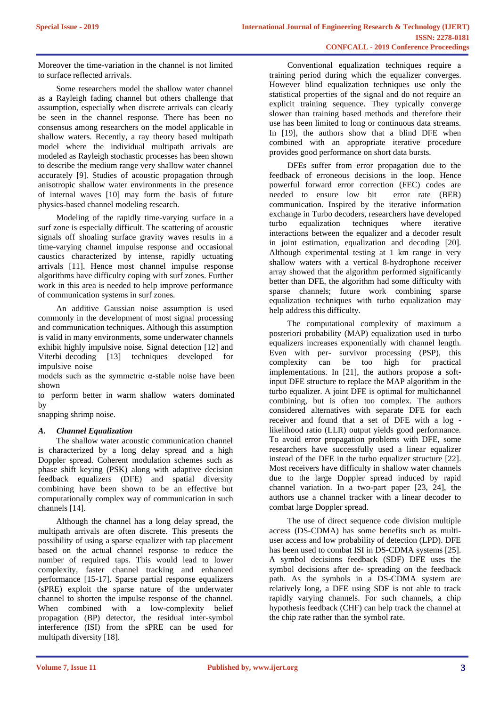Moreover the time-variation in the channel is not limited to surface reflected arrivals.

Some researchers model the shallow water channel as a Rayleigh fading channel but others challenge that assumption, especially when discrete arrivals can clearly be seen in the channel response. There has been no consensus among researchers on the model applicable in shallow waters. Recently, a ray theory based multipath model where the individual multipath arrivals are modeled as Rayleigh stochastic processes has been shown to describe the medium range very shallow water channel accurately [9]. Studies of acoustic propagation through anisotropic shallow water environments in the presence of internal waves [10] may form the basis of future physics-based channel modeling research.

Modeling of the rapidly time-varying surface in a surf zone is especially difficult. The scattering of acoustic signals off shoaling surface gravity waves results in a time-varying channel impulse response and occasional caustics characterized by intense, rapidly uctuating arrivals [11]. Hence most channel impulse response algorithms have difficulty coping with surf zones. Further work in this area is needed to help improve performance of communication systems in surf zones.

An additive Gaussian noise assumption is used commonly in the development of most signal processing and communication techniques. Although this assumption is valid in many environments, some underwater channels exhibit highly impulsive noise. Signal detection [12] and Viterbi decoding [13] techniques developed for impulsive noise

models such as the symmetric  $\alpha$ -stable noise have been shown

to perform better in warm shallow waters dominated by

snapping shrimp noise.

#### *A. Channel Equalization*

The shallow water acoustic communication channel is characterized by a long delay spread and a high Doppler spread. Coherent modulation schemes such as phase shift keying (PSK) along with adaptive decision feedback equalizers (DFE) and spatial diversity combining have been shown to be an effective but computationally complex way of communication in such channels [14].

Although the channel has a long delay spread, the multipath arrivals are often discrete. This presents the possibility of using a sparse equalizer with tap placement based on the actual channel response to reduce the number of required taps. This would lead to lower complexity, faster channel tracking and enhanced performance [15-17]. Sparse partial response equalizers (sPRE) exploit the sparse nature of the underwater channel to shorten the impulse response of the channel. When combined with a low-complexity belief propagation (BP) detector, the residual inter-symbol interference (ISI) from the sPRE can be used for multipath diversity [18].

Conventional equalization techniques require a training period during which the equalizer converges. However blind equalization techniques use only the statistical properties of the signal and do not require an explicit training sequence. They typically converge slower than training based methods and therefore their use has been limited to long or continuous data streams. In [19], the authors show that a blind DFE when combined with an appropriate iterative procedure provides good performance on short data bursts.

DFEs suffer from error propagation due to the feedback of erroneous decisions in the loop. Hence powerful forward error correction (FEC) codes are needed to ensure low bit error rate (BER) communication. Inspired by the iterative information exchange in Turbo decoders, researchers have developed turbo equalization techniques where iterative interactions between the equalizer and a decoder result in joint estimation, equalization and decoding [20]. Although experimental testing at 1 km range in very shallow waters with a vertical 8-hydrophone receiver array showed that the algorithm performed significantly better than DFE, the algorithm had some difficulty with sparse channels; future work combining sparse equalization techniques with turbo equalization may help address this difficulty.

The computational complexity of maximum a posteriori probability (MAP) equalization used in turbo equalizers increases exponentially with channel length. Even with per- survivor processing (PSP), this complexity can be too high for practical implementations. In [21], the authors propose a softinput DFE structure to replace the MAP algorithm in the turbo equalizer. A joint DFE is optimal for multichannel combining, but is often too complex. The authors considered alternatives with separate DFE for each receiver and found that a set of DFE with a log likelihood ratio (LLR) output yields good performance. To avoid error propagation problems with DFE, some researchers have successfully used a linear equalizer instead of the DFE in the turbo equalizer structure [22]. Most receivers have difficulty in shallow water channels due to the large Doppler spread induced by rapid channel variation. In a two-part paper [23, 24], the authors use a channel tracker with a linear decoder to combat large Doppler spread.

The use of direct sequence code division multiple access (DS-CDMA) has some benefits such as multiuser access and low probability of detection (LPD). DFE has been used to combat ISI in DS-CDMA systems [25]. A symbol decisions feedback (SDF) DFE uses the symbol decisions after de- spreading on the feedback path. As the symbols in a DS-CDMA system are relatively long, a DFE using SDF is not able to track rapidly varying channels. For such channels, a chip hypothesis feedback (CHF) can help track the channel at the chip rate rather than the symbol rate.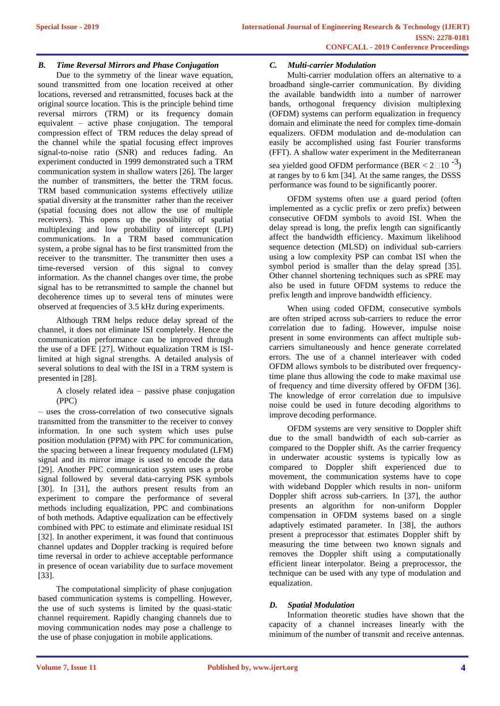# *B. Time Reversal Mirrors and Phase Conjugation*

Due to the symmetry of the linear wave equation, sound transmitted from one location received at other locations, reversed and retransmitted, focuses back at the original source location. This is the principle behind time reversal mirrors (TRM) or its frequency domain equivalent – active phase conjugation. The temporal compression effect of TRM reduces the delay spread of the channel while the spatial focusing effect improves signal-to-noise ratio (SNR) and reduces fading. An experiment conducted in 1999 demonstrated such a TRM communication system in shallow waters [26]. The larger the number of transmitters, the better the TRM focus. TRM based communication systems effectively utilize spatial diversity at the transmitter rather than the receiver (spatial focusing does not allow the use of multiple receivers). This opens up the possibility of spatial multiplexing and low probability of intercept (LPI) communications. In a TRM based communication system, a probe signal has to be first transmitted from the receiver to the transmitter. The transmitter then uses a time-reversed version of this signal to convey information. As the channel changes over time, the probe signal has to be retransmitted to sample the channel but decoherence times up to several tens of minutes were observed at frequencies of 3.5 kHz during experiments.

Although TRM helps reduce delay spread of the channel, it does not eliminate ISI completely. Hence the communication performance can be improved through the use of a DFE [27]. Without equalization TRM is ISIlimited at high signal strengths. A detailed analysis of several solutions to deal with the ISI in a TRM system is presented in [28].

A closely related idea – passive phase conjugation (PPC)

– uses the cross-correlation of two consecutive signals transmitted from the transmitter to the receiver to convey information. In one such system which uses pulse position modulation (PPM) with PPC for communication, the spacing between a linear frequency modulated (LFM) signal and its mirror image is used to encode the data [29]. Another PPC communication system uses a probe signal followed by several data-carrying PSK symbols [30]. In [31], the authors present results from an experiment to compare the performance of several methods including equalization, PPC and combinations of both methods. Adaptive equalization can be effectively combined with PPC to estimate and eliminate residual ISI [32]. In another experiment, it was found that continuous channel updates and Doppler tracking is required before time reversal in order to achieve acceptable performance in presence of ocean variability due to surface movement [33].

The computational simplicity of phase conjugation based communication systems is compelling. However, the use of such systems is limited by the quasi-static channel requirement. Rapidly changing channels due to moving communication nodes may pose a challenge to the use of phase conjugation in mobile applications.

# *C. Multi-carrier Modulation*

Multi-carrier modulation offers an alternative to a broadband single-carrier communication. By dividing the available bandwidth into a number of narrower bands, orthogonal frequency division multiplexing (OFDM) systems can perform equalization in frequency domain and eliminate the need for complex time-domain equalizers. OFDM modulation and de-modulation can easily be accomplished using fast Fourier transforms (FFT). A shallow water experiment in the Mediterranean

sea yielded good OFDM performance (BER <  $2\square 10^{-3}$ ) at ranges by to 6 km [34]. At the same ranges, the DSSS performance was found to be significantly poorer.

OFDM systems often use a guard period (often implemented as a cyclic prefix or zero prefix) between consecutive OFDM symbols to avoid ISI. When the delay spread is long, the prefix length can significantly affect the bandwidth efficiency. Maximum likelihood sequence detection (MLSD) on individual sub-carriers using a low complexity PSP can combat ISI when the symbol period is smaller than the delay spread [35]. Other channel shortening techniques such as sPRE may also be used in future OFDM systems to reduce the prefix length and improve bandwidth efficiency.

When using coded OFDM, consecutive symbols are often striped across sub-carriers to reduce the error correlation due to fading. However, impulse noise present in some environments can affect multiple subcarriers simultaneously and hence generate correlated errors. The use of a channel interleaver with coded OFDM allows symbols to be distributed over frequencytime plane thus allowing the code to make maximal use of frequency and time diversity offered by OFDM [36]. The knowledge of error correlation due to impulsive noise could be used in future decoding algorithms to improve decoding performance.

OFDM systems are very sensitive to Doppler shift due to the small bandwidth of each sub-carrier as compared to the Doppler shift. As the carrier frequency in underwater acoustic systems is typically low as compared to Doppler shift experienced due to movement, the communication systems have to cope with wideband Doppler which results in non- uniform Doppler shift across sub-carriers. In [37], the author presents an algorithm for non-uniform Doppler compensation in OFDM systems based on a single adaptively estimated parameter. In [38], the authors present a preprocessor that estimates Doppler shift by measuring the time between two known signals and removes the Doppler shift using a computationally efficient linear interpolator. Being a preprocessor, the technique can be used with any type of modulation and equalization.

# *D. Spatial Modulation*

Information theoretic studies have shown that the capacity of a channel increases linearly with the minimum of the number of transmit and receive antennas.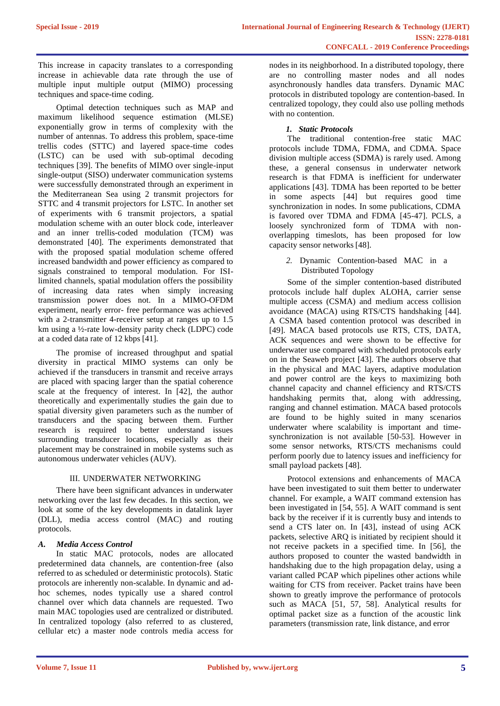This increase in capacity translates to a corresponding increase in achievable data rate through the use of multiple input multiple output (MIMO) processing techniques and space-time coding.

Optimal detection techniques such as MAP and maximum likelihood sequence estimation (MLSE) exponentially grow in terms of complexity with the number of antennas. To address this problem, space-time trellis codes (STTC) and layered space-time codes (LSTC) can be used with sub-optimal decoding techniques [39]. The benefits of MIMO over single-input single-output (SISO) underwater communication systems were successfully demonstrated through an experiment in the Mediterranean Sea using 2 transmit projectors for STTC and 4 transmit projectors for LSTC. In another set of experiments with 6 transmit projectors, a spatial modulation scheme with an outer block code, interleaver and an inner trellis-coded modulation (TCM) was demonstrated [40]. The experiments demonstrated that with the proposed spatial modulation scheme offered increased bandwidth and power efficiency as compared to signals constrained to temporal modulation. For ISIlimited channels, spatial modulation offers the possibility of increasing data rates when simply increasing transmission power does not. In a MIMO-OFDM experiment, nearly error- free performance was achieved with a 2-transmitter 4-receiver setup at ranges up to 1.5 km using a ½-rate low-density parity check (LDPC) code at a coded data rate of 12 kbps [41].

The promise of increased throughput and spatial diversity in practical MIMO systems can only be achieved if the transducers in transmit and receive arrays are placed with spacing larger than the spatial coherence scale at the frequency of interest. In [42], the author theoretically and experimentally studies the gain due to spatial diversity given parameters such as the number of transducers and the spacing between them. Further research is required to better understand issues surrounding transducer locations, especially as their placement may be constrained in mobile systems such as autonomous underwater vehicles (AUV).

#### III. UNDERWATER NETWORKING

There have been significant advances in underwater networking over the last few decades. In this section, we look at some of the key developments in datalink layer (DLL), media access control (MAC) and routing protocols.

#### *A. Media Access Control*

In static MAC protocols, nodes are allocated predetermined data channels, are contention-free (also referred to as scheduled or deterministic protocols). Static protocols are inherently non-scalable. In dynamic and adhoc schemes, nodes typically use a shared control channel over which data channels are requested. Two main MAC topologies used are centralized or distributed. In centralized topology (also referred to as clustered, cellular etc) a master node controls media access for

nodes in its neighborhood. In a distributed topology, there are no controlling master nodes and all nodes asynchronously handles data transfers. Dynamic MAC protocols in distributed topology are contention-based. In centralized topology, they could also use polling methods with no contention.

## *1. Static Protocols*

The traditional contention-free static MAC protocols include TDMA, FDMA, and CDMA. Space division multiple access (SDMA) is rarely used. Among these, a general consensus in underwater network research is that FDMA is inefficient for underwater applications [43]. TDMA has been reported to be better in some aspects [44] but requires good time synchronization in nodes. In some publications, CDMA is favored over TDMA and FDMA [45-47]. PCLS, a loosely synchronized form of TDMA with nonoverlapping timeslots, has been proposed for low capacity sensor networks [48].

*2.* Dynamic Contention-based MAC in a Distributed Topology

Some of the simpler contention-based distributed protocols include half duplex ALOHA, carrier sense multiple access (CSMA) and medium access collision avoidance (MACA) using RTS/CTS handshaking [44]. A CSMA based contention protocol was described in [49]. MACA based protocols use RTS, CTS, DATA, ACK sequences and were shown to be effective for underwater use compared with scheduled protocols early on in the Seaweb project [43]. The authors observe that in the physical and MAC layers, adaptive modulation and power control are the keys to maximizing both channel capacity and channel efficiency and RTS/CTS handshaking permits that, along with addressing, ranging and channel estimation. MACA based protocols are found to be highly suited in many scenarios underwater where scalability is important and timesynchronization is not available [50-53]. However in some sensor networks, RTS/CTS mechanisms could perform poorly due to latency issues and inefficiency for small payload packets [48].

Protocol extensions and enhancements of MACA have been investigated to suit them better to underwater channel. For example, a WAIT command extension has been investigated in [54, 55]. A WAIT command is sent back by the receiver if it is currently busy and intends to send a CTS later on. In [43], instead of using ACK packets, selective ARQ is initiated by recipient should it not receive packets in a specified time. In [56], the authors proposed to counter the wasted bandwidth in handshaking due to the high propagation delay, using a variant called PCAP which pipelines other actions while waiting for CTS from receiver. Packet trains have been shown to greatly improve the performance of protocols such as MACA [51, 57, 58]. Analytical results for optimal packet size as a function of the acoustic link parameters (transmission rate, link distance, and error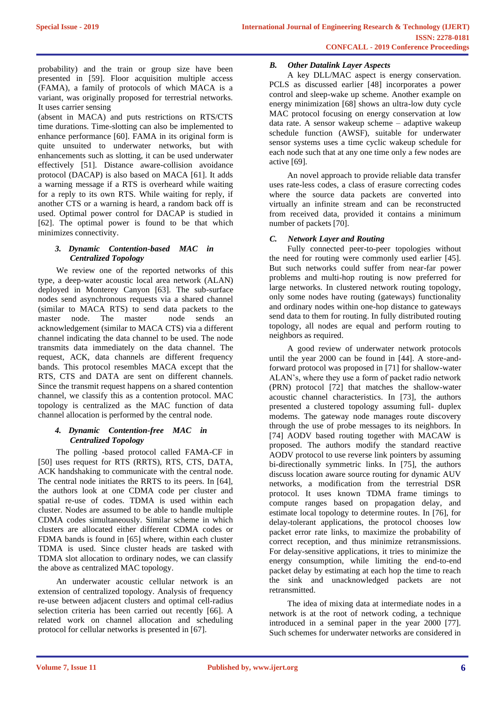probability) and the train or group size have been presented in [59]. Floor acquisition multiple access (FAMA), a family of protocols of which MACA is a variant, was originally proposed for terrestrial networks. It uses carrier sensing

(absent in MACA) and puts restrictions on RTS/CTS time durations. Time-slotting can also be implemented to enhance performance [60]. FAMA in its original form is quite unsuited to underwater networks, but with enhancements such as slotting, it can be used underwater effectively [51]. Distance aware-collision avoidance protocol (DACAP) is also based on MACA [61]. It adds a warning message if a RTS is overheard while waiting for a reply to its own RTS. While waiting for reply, if another CTS or a warning is heard, a random back off is used. Optimal power control for DACAP is studied in [62]. The optimal power is found to be that which minimizes connectivity.

### *3. Dynamic Contention-based MAC in Centralized Topology*

We review one of the reported networks of this type, a deep-water acoustic local area network (ALAN) deployed in Monterey Canyon [63]. The sub-surface nodes send asynchronous requests via a shared channel (similar to MACA RTS) to send data packets to the master node. The master node sends an acknowledgement (similar to MACA CTS) via a different channel indicating the data channel to be used. The node transmits data immediately on the data channel. The request, ACK, data channels are different frequency bands. This protocol resembles MACA except that the RTS, CTS and DATA are sent on different channels. Since the transmit request happens on a shared contention channel, we classify this as a contention protocol. MAC topology is centralized as the MAC function of data channel allocation is performed by the central node.

## *4. Dynamic Contention-free MAC in Centralized Topology*

The polling -based protocol called FAMA-CF in [50] uses request for RTS (RRTS), RTS, CTS, DATA, ACK handshaking to communicate with the central node. The central node initiates the RRTS to its peers. In [64], the authors look at one CDMA code per cluster and spatial re-use of codes. TDMA is used within each cluster. Nodes are assumed to be able to handle multiple CDMA codes simultaneously. Similar scheme in which clusters are allocated either different CDMA codes or FDMA bands is found in [65] where, within each cluster TDMA is used. Since cluster heads are tasked with TDMA slot allocation to ordinary nodes, we can classify the above as centralized MAC topology.

An underwater acoustic cellular network is an extension of centralized topology. Analysis of frequency re-use between adjacent clusters and optimal cell-radius selection criteria has been carried out recently [66]. A related work on channel allocation and scheduling protocol for cellular networks is presented in [67].

## *B. Other Datalink Layer Aspects*

A key DLL/MAC aspect is energy conservation. PCLS as discussed earlier [48] incorporates a power control and sleep-wake up scheme. Another example on energy minimization [68] shows an ultra-low duty cycle MAC protocol focusing on energy conservation at low data rate. A sensor wakeup scheme – adaptive wakeup schedule function (AWSF), suitable for underwater sensor systems uses a time cyclic wakeup schedule for each node such that at any one time only a few nodes are active [69].

An novel approach to provide reliable data transfer uses rate-less codes, a class of erasure correcting codes where the source data packets are converted into virtually an infinite stream and can be reconstructed from received data, provided it contains a minimum number of packets [70].

## *C. Network Layer and Routing*

Fully connected peer-to-peer topologies without the need for routing were commonly used earlier [45]. But such networks could suffer from near-far power problems and multi-hop routing is now preferred for large networks. In clustered network routing topology, only some nodes have routing (gateways) functionality and ordinary nodes within one-hop distance to gateways send data to them for routing. In fully distributed routing topology, all nodes are equal and perform routing to neighbors as required.

A good review of underwater network protocols until the year 2000 can be found in [44]. A store-andforward protocol was proposed in [71] for shallow-water ALAN's, where they use a form of packet radio network (PRN) protocol [72] that matches the shallow-water acoustic channel characteristics. In [73], the authors presented a clustered topology assuming full- duplex modems. The gateway node manages route discovery through the use of probe messages to its neighbors. In [74] AODV based routing together with MACAW is proposed. The authors modify the standard reactive AODV protocol to use reverse link pointers by assuming bi-directionally symmetric links. In [75], the authors discuss location aware source routing for dynamic AUV networks, a modification from the terrestrial DSR protocol. It uses known TDMA frame timings to compute ranges based on propagation delay, and estimate local topology to determine routes. In [76], for delay-tolerant applications, the protocol chooses low packet error rate links, to maximize the probability of correct reception, and thus minimize retransmissions. For delay-sensitive applications, it tries to minimize the energy consumption, while limiting the end-to-end packet delay by estimating at each hop the time to reach the sink and unacknowledged packets are not retransmitted.

The idea of mixing data at intermediate nodes in a network is at the root of network coding, a technique introduced in a seminal paper in the year 2000 [77]. Such schemes for underwater networks are considered in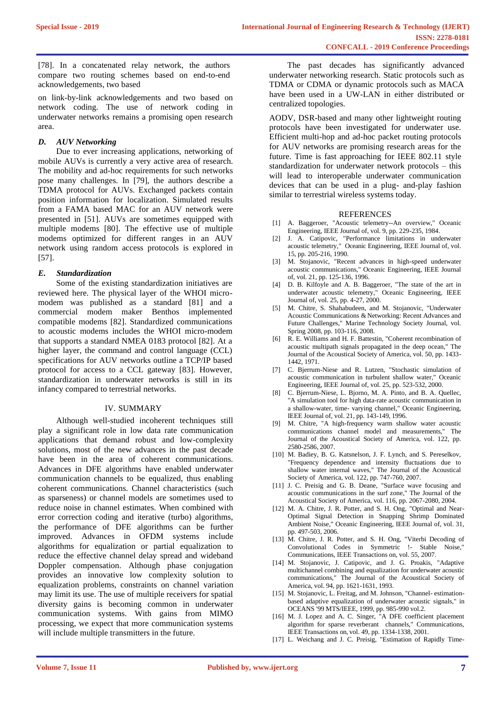[78]. In a concatenated relay network, the authors compare two routing schemes based on end-to-end acknowledgements, two based

on link-by-link acknowledgements and two based on network coding. The use of network coding in underwater networks remains a promising open research area.

#### *D. AUV Networking*

Due to ever increasing applications, networking of mobile AUVs is currently a very active area of research. The mobility and ad-hoc requirements for such networks pose many challenges. In [79], the authors describe a TDMA protocol for AUVs. Exchanged packets contain position information for localization. Simulated results from a FAMA based MAC for an AUV network were presented in [51]. AUVs are sometimes equipped with multiple modems [80]. The effective use of multiple modems optimized for different ranges in an AUV network using random access protocols is explored in [57].

#### *E. Standardization*

Some of the existing standardization initiatives are reviewed here. The physical layer of the WHOI micromodem was published as a standard [81] and a commercial modem maker Benthos implemented compatible modems [82]. Standardized communications to acoustic modems includes the WHOI micro-modem that supports a standard NMEA 0183 protocol [82]. At a higher layer, the command and control language (CCL) specifications for AUV networks outline a TCP/IP based protocol for access to a CCL gateway [83]. However, standardization in underwater networks is still in its infancy compared to terrestrial networks.

#### IV. SUMMARY

Although well-studied incoherent techniques still play a significant role in low data rate communication applications that demand robust and low-complexity solutions, most of the new advances in the past decade have been in the area of coherent communications. Advances in DFE algorithms have enabled underwater communication channels to be equalized, thus enabling coherent communications. Channel characteristics (such as sparseness) or channel models are sometimes used to reduce noise in channel estimates. When combined with error correction coding and iterative (turbo) algorithms, the performance of DFE algorithms can be further improved. Advances in OFDM systems include algorithms for equalization or partial equalization to reduce the effective channel delay spread and wideband Doppler compensation. Although phase conjugation provides an innovative low complexity solution to equalization problems, constraints on channel variation may limit its use. The use of multiple receivers for spatial diversity gains is becoming common in underwater communication systems. With gains from MIMO processing, we expect that more communication systems will include multiple transmitters in the future.

The past decades has significantly advanced underwater networking research. Static protocols such as TDMA or CDMA or dynamic protocols such as MACA have been used in a UW-LAN in either distributed or centralized topologies.

AODV, DSR-based and many other lightweight routing protocols have been investigated for underwater use. Efficient multi-hop and ad-hoc packet routing protocols for AUV networks are promising research areas for the future. Time is fast approaching for IEEE 802.11 style standardization for underwater network protocols – this will lead to interoperable underwater communication devices that can be used in a plug- and-play fashion similar to terrestrial wireless systems today.

#### REFERENCES

- [1] A. Baggeroer, "Acoustic telemetry--An overview," Oceanic Engineering, IEEE Journal of, vol. 9, pp. 229-235, 1984.
- [2] J. A. Catipovic, "Performance limitations in underwater acoustic telemetry," Oceanic Engineering, IEEE Journal of, vol. 15, pp. 205-216, 1990.
- [3] M. Stojanovic, "Recent advances in high-speed underwater acoustic communications," Oceanic Engineering, IEEE Journal of, vol. 21, pp. 125-136, 1996.
- [4] D. B. Kilfoyle and A. B. Baggeroer, "The state of the art in underwater acoustic telemetry," Oceanic Engineering, IEEE Journal of, vol. 25, pp. 4-27, 2000.
- M. Chitre, S. Shahabudeen, and M. Stojanovic, "Underwater Acoustic Communications & Networking: Recent Advances and Future Challenges," Marine Technology Society Journal, vol. Spring 2008, pp. 103-116, 2008.
- [6] R. E. Williams and H. F. Battestin, "Coherent recombination of acoustic multipath signals propagated in the deep ocean," The Journal of the Acoustical Society of America, vol. 50, pp. 1433- 1442, 1971.
- [7] C. Bjerrum-Niese and R. Lutzen, "Stochastic simulation of acoustic communication in turbulent shallow water," Oceanic Engineering, IEEE Journal of, vol. 25, pp. 523-532, 2000.
- [8] C. Bjerrum-Niese, L. Bjorno, M. A. Pinto, and B. A. Quellec, "A simulation tool for high data-rate acoustic communication in a shallow-water, time- varying channel," Oceanic Engineering, IEEE Journal of, vol. 21, pp. 143-149, 1996.
- [9] M. Chitre, "A high-frequency warm shallow water acoustic communications channel model and measurements," The Journal of the Acoustical Society of America, vol. 122, pp. 2580-2586, 2007.
- [10] M. Badiey, B. G. Katsnelson, J. F. Lynch, and S. Pereselkov, "Frequency dependence and intensity fluctuations due to shallow water internal waves," The Journal of the Acoustical Society of America, vol. 122, pp. 747-760, 2007.
- [11] J. C. Preisig and G. B. Deane, "Surface wave focusing and acoustic communications in the surf zone," The Journal of the Acoustical Society of America, vol. 116, pp. 2067-2080, 2004.
- [12] M. A. Chitre, J. R. Potter, and S. H. Ong, "Optimal and Near-Optimal Signal Detection in Snapping Shrimp Dominated Ambient Noise," Oceanic Engineering, IEEE Journal of, vol. 31, pp. 497-503, 2006.
- [13] M. Chitre, J. R. Potter, and S. H. Ong, "Viterbi Decoding of Convolutional Codes in Symmetric !- Stable Noise," Communications, IEEE Transactions on, vol. 55, 2007.
- [14] M. Stojanovic, J. Catipovic, and J. G. Proakis, "Adaptive multichannel combining and equalization for underwater acoustic communications," The Journal of the Acoustical Society of America, vol. 94, pp. 1621-1631, 1993.
- [15] M. Stojanovic, L. Freitag, and M. Johnson, "Channel- estimationbased adaptive equalization of underwater acoustic signals," in OCEANS '99 MTS/IEEE, 1999, pp. 985-990 vol.2.
- [16] M. J. Lopez and A. C. Singer, "A DFE coefficient placement algorithm for sparse reverberant channels," Communications, IEEE Transactions on, vol. 49, pp. 1334-1338, 2001.
- [17] L. Weichang and J. C. Preisig, "Estimation of Rapidly Time-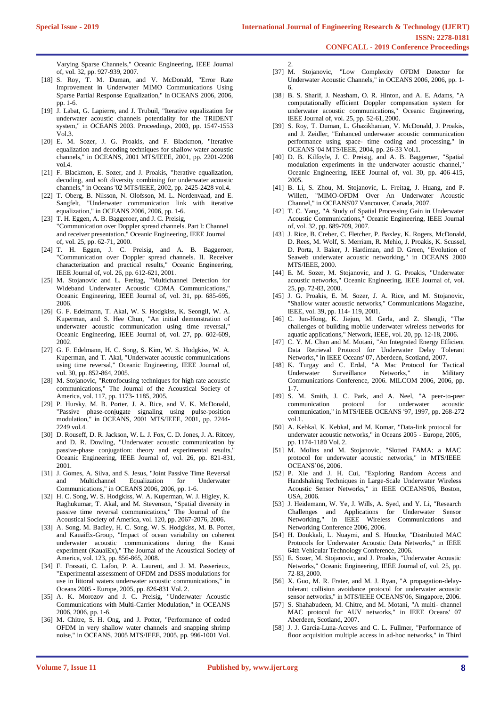- [18] S. Roy, T. M. Duman, and V. McDonald, "Error Rate Improvement in Underwater MIMO Communications Using Sparse Partial Response Equalization," in OCEANS 2006, 2006, pp. 1-6.
- [19] J. Labat, G. Lapierre, and J. Trubuil, "Iterative equalization for underwater acoustic channels potentiality for the TRIDENT system," in OCEANS 2003. Proceedings, 2003, pp. 1547-1553 Vol.3.
- [20] E. M. Sozer, J. G. Proakis, and F. Blackmon, "Iterative equalization and decoding techniques for shallow water acoustic channels," in OCEANS, 2001 MTS/IEEE, 2001, pp. 2201-2208 vol.4.
- [21] F. Blackmon, E. Sozer, and J. Proakis, "Iterative equalization, decoding, and soft diversity combining for underwater acoustic channels," in Oceans '02 MTS/IEEE, 2002, pp. 2425-2428 vol.4.
- [22] T. Oberg, B. Nilsson, N. Olofsson, M. L. Nordenvaad, and E. Sangfelt, "Underwater communication link with iterative equalization," in OCEANS 2006, 2006, pp. 1-6.
- [23] T. H. Eggen, A. B. Baggeroer, and J. C. Preisig, "Communication over Doppler spread channels. Part I: Channel and receiver presentation," Oceanic Engineering, IEEE Journal of, vol. 25, pp. 62-71, 2000.
- [24] T. H. Eggen, J. C. Preisig, and A. B. Baggeroer, "Communication over Doppler spread channels. II. Receiver characterization and practical results," Oceanic Engineering, IEEE Journal of, vol. 26, pp. 612-621, 2001.
- [25] M. Stojanovic and L. Freitag, "Multichannel Detection for Wideband Underwater Acoustic CDMA Communications," Oceanic Engineering, IEEE Journal of, vol. 31, pp. 685-695, 2006.
- [26] G. F. Edelmann, T. Akal, W. S. Hodgkiss, K. Seongil, W. A. Kuperman, and S. Hee Chun, "An initial demonstration of underwater acoustic communication using time reversal," Oceanic Engineering, IEEE Journal of, vol. 27, pp. 602-609, 2002.
- [27] G. F. Edelmann, H. C. Song, S. Kim, W. S. Hodgkiss, W. A. Kuperman, and T. Akal, "Underwater acoustic communications using time reversal," Oceanic Engineering, IEEE Journal of, vol. 30, pp. 852-864, 2005.
- [28] M. Stojanovic, "Retrofocusing techniques for high rate acoustic communications," The Journal of the Acoustical Society of America, vol. 117, pp. 1173- 1185, 2005.
- [29] P. Hursky, M. B. Porter, J. A. Rice, and V. K. McDonald, "Passive phase-conjugate signaling using pulse-position modulation," in OCEANS, 2001 MTS/IEEE, 2001, pp. 2244- 2249 vol.4.
- [30] D. Rouseff, D. R. Jackson, W. L. J. Fox, C. D. Jones, J. A. Ritcey, and D. R. Dowling, "Underwater acoustic communication by passive-phase conjugation: theory and experimental results," Oceanic Engineering, IEEE Journal of, vol. 26, pp. 821-831, 2001.
- [31] J. Gomes, A. Silva, and S. Jesus, "Joint Passive Time Reversal and Multichannel Equalization for Underwater Communications," in OCEANS 2006, 2006, pp. 1-6.
- [32] H. C. Song, W. S. Hodgkiss, W. A. Kuperman, W. J. Higley, K. Raghukumar, T. Akal, and M. Stevenson, "Spatial diversity in passive time reversal communications," The Journal of the Acoustical Society of America, vol. 120, pp. 2067-2076, 2006.
- [33] A. Song, M. Badiey, H. C. Song, W. S. Hodgkiss, M. B. Porter, and KauaiEx-Group, "Impact of ocean variability on coherent underwater acoustic communications during the Kauai experiment (KauaiEx)," The Journal of the Acoustical Society of America, vol. 123, pp. 856-865, 2008.
- [34] F. Frassati, C. Lafon, P. A. Laurent, and J. M. Passerieux, "Experimental assessment of OFDM and DSSS modulations for use in littoral waters underwater acoustic communications," in Oceans 2005 - Europe, 2005, pp. 826-831 Vol. 2.
- [35] A. K. Morozov and J. C. Preisig, "Underwater Acoustic Communications with Multi-Carrier Modulation," in OCEANS 2006, 2006, pp. 1-6.
- [36] M. Chitre, S. H. Ong, and J. Potter, "Performance of coded OFDM in very shallow water channels and snapping shrimp noise," in OCEANS, 2005 MTS/IEEE, 2005, pp. 996-1001 Vol.

2.

- [37] M. Stojanovic, "Low Complexity OFDM Detector for Underwater Acoustic Channels," in OCEANS 2006, 2006, pp. 1- 6.
- [38] B. S. Sharif, J. Neasham, O. R. Hinton, and A. E. Adams, "A computationally efficient Doppler compensation system for underwater acoustic communications," Oceanic Engineering, IEEE Journal of, vol. 25, pp. 52-61, 2000.
- [39] S. Roy, T. Duman, L. Ghazikhanian, V. McDonald, J. Proakis, and J. Zeidler, "Enhanced underwater acoustic communication performance using space- time coding and processing," in OCEANS '04 MTS/IEEE, 2004, pp. 26-33 Vol.1.
- [40] D. B. Kilfoyle, J. C. Preisig, and A. B. Baggeroer, "Spatial modulation experiments in the underwater acoustic channel," Oceanic Engineering, IEEE Journal of, vol. 30, pp. 406-415, 2005.
- [41] B. Li, S. Zhou, M. Stojanovic, L. Freitag, J. Huang, and P. Willett, "MIMO-OFDM Over An Underwater Acoustic Channel," in OCEANS'07 Vancouver, Canada, 2007.
- [42] T. C. Yang, "A Study of Spatial Processing Gain in Underwater Acoustic Communications," Oceanic Engineering, IEEE Journal of, vol. 32, pp. 689-709, 2007.
- [43] J. Rice, B. Creber, C. Fletcher, P. Baxley, K. Rogers, McDonald, D. Rees, M. Wolf, S. Merriam, R. Mehio, J. Proakis, K. Scussel, D. Porta, J. Baker, J. Hardiman, and D. Green, "Evolution of Seaweb underwater acoustic networking," in OCEANS 2000 MTS/IEEE, 2000.
- [44] E. M. Sozer, M. Stojanovic, and J. G. Proakis, "Underwater acoustic networks," Oceanic Engineering, IEEE Journal of, vol. 25, pp. 72-83, 2000.
- [45] J. G. Proakis, E. M. Sozer, J. A. Rice, and M. Stojanovic, "Shallow water acoustic networks," Communications Magazine, IEEE, vol. 39, pp. 114- 119, 2001.
- [46] C. Jun-Hong, K. Jiejun, M. Gerla, and Z. Shengli, "The challenges of building mobile underwater wireless networks for aquatic applications," Network, IEEE, vol. 20, pp. 12-18, 2006.
- [47] C. Y. M. Chan and M. Motani, "An Integrated Energy Efficient Data Retrieval Protocol for Underwater Delay Tolerant Networks," in IEEE Oceans' 07, Aberdeen, Scotland, 2007.
- [48] K. Turgay and C. Erdal, "A Mac Protocol for Tactical Underwater Surveillance Networks," in Military Communications Conference, 2006. MILCOM 2006, 2006, pp. 1-7.
- [49] S. M. Smith, J. C. Park, and A. Neel, "A peer-to-peer communication protocol for underwater acoustic communication," in MTS/IEEE OCEANS '97, 1997, pp. 268-272 vol.1.
- [50] A. Kebkal, K. Kebkal, and M. Komar, "Data-link protocol for underwater acoustic networks," in Oceans 2005 - Europe, 2005, pp. 1174-1180 Vol. 2.
- [51] M. Molins and M. Stojanovic, "Slotted FAMA: a MAC protocol for underwater acoustic networks," in MTS/IEEE OCEANS'06, 2006.
- [52] P. Xie and J. H. Cui, "Exploring Random Access and Handshaking Techniques in Large-Scale Underwater Wireless Acoustic Sensor Networks," in IEEE OCEANS'06, Boston, USA, 2006.
- [53] J. Heidemann, W. Ye, J. Wills, A. Syed, and Y. Li, "Research Challenges and Applications for Underwater Sensor Networking," in IEEE Wireless Communications and Networking Conference 2006, 2006.
- [54] H. Doukkali, L. Nuaymi, and S. Houcke, "Distributed MAC Protocols for Underwater Acoustic Data Networks," in IEEE 64th Vehicular Technology Conference, 2006.
- [55] E. Sozer, M. Stojanovic, and J. Proakis, "Underwater Acoustic Networks," Oceanic Engineering, IEEE Journal of, vol. 25, pp. 72-83, 2000.
- [56] X. Guo, M. R. Frater, and M. J. Ryan, "A propagation-delaytolerant collision avoidance protocol for underwater acoustic sensor networks," in MTS/IEEE OCEANS'06, Singapore, 2006.
- [57] S. Shahabudeen, M. Chitre, and M. Motani, "A multi- channel MAC protocol for AUV networks," in IEEE Oceans' 07 Aberdeen, Scotland, 2007.
- [58] J. J. Garcia-Luna-Aceves and C. L. Fullmer, "Performance of floor acquisition multiple access in ad-hoc networks," in Third